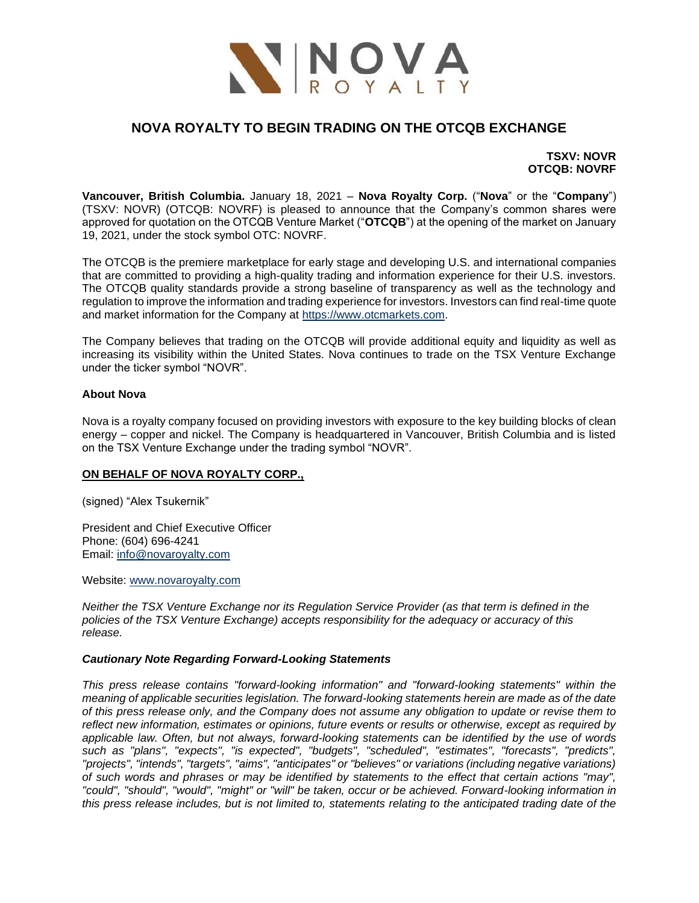

## **NOVA ROYALTY TO BEGIN TRADING ON THE OTCQB EXCHANGE**

**TSXV: NOVR OTCQB: NOVRF**

**Vancouver, British Columbia.** January 18, 2021 – **Nova Royalty Corp.** ("**Nova**" or the "**Company**") (TSXV: NOVR) (OTCQB: NOVRF) is pleased to announce that the Company's common shares were approved for quotation on the OTCQB Venture Market ("**OTCQB**") at the opening of the market on January 19, 2021, under the stock symbol OTC: NOVRF.

The OTCQB is the premiere marketplace for early stage and developing U.S. and international companies that are committed to providing a high-quality trading and information experience for their U.S. investors. The OTCQB quality standards provide a strong baseline of transparency as well as the technology and regulation to improve the information and trading experience for investors. Investors can find real-time quote and market information for the Company at [https://www.otcmarkets.com.](https://www.otcmarkets.com/)

The Company believes that trading on the OTCQB will provide additional equity and liquidity as well as increasing its visibility within the United States. Nova continues to trade on the TSX Venture Exchange under the ticker symbol "NOVR".

## **About Nova**

Nova is a royalty company focused on providing investors with exposure to the key building blocks of clean energy – copper and nickel. The Company is headquartered in Vancouver, British Columbia and is listed on the TSX Venture Exchange under the trading symbol "NOVR".

## **ON BEHALF OF NOVA ROYALTY CORP.,**

(signed) "Alex Tsukernik"

President and Chief Executive Officer Phone: (604) 696-4241 Email: [info@novaroyalty.com](mailto:info@novaroyalty.com)

Website: [www.novaroyalty.com](http://www.novaroyalty.com/)

*Neither the TSX Venture Exchange nor its Regulation Service Provider (as that term is defined in the policies of the TSX Venture Exchange) accepts responsibility for the adequacy or accuracy of this release.*

## *Cautionary Note Regarding Forward-Looking Statements*

*This press release contains "forward-looking information" and "forward-looking statements" within the meaning of applicable securities legislation. The forward-looking statements herein are made as of the date of this press release only, and the Company does not assume any obligation to update or revise them to reflect new information, estimates or opinions, future events or results or otherwise, except as required by applicable law. Often, but not always, forward-looking statements can be identified by the use of words such as "plans", "expects", "is expected", "budgets", "scheduled", "estimates", "forecasts", "predicts", "projects", "intends", "targets", "aims", "anticipates" or "believes" or variations (including negative variations) of such words and phrases or may be identified by statements to the effect that certain actions "may", "could", "should", "would", "might" or "will" be taken, occur or be achieved. Forward-looking information in this press release includes, but is not limited to, statements relating to the anticipated trading date of the*